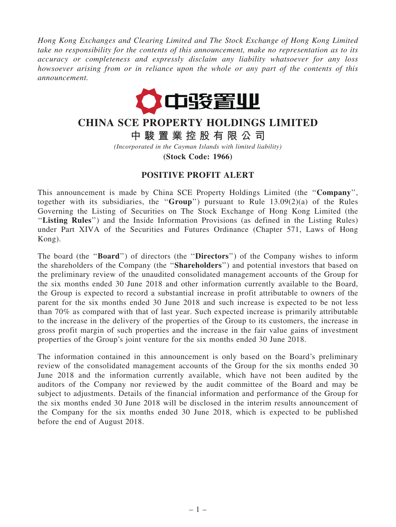Hong Kong Exchanges and Clearing Limited and The Stock Exchange of Hong Kong Limited take no responsibility for the contents of this announcement, make no representation as to its accuracy or completeness and expressly disclaim any liability whatsoever for any loss howsoever arising from or in reliance upon the whole or any part of the contents of this announcement.



## CHINA SCE PROPERTY HOLDINGS LIMITED

中 駿 置 業 控 股 有 限 公 司

(Incorporated in the Cayman Islands with limited liability)

(Stock Code: 1966)

## POSITIVE PROFIT ALERT

This announcement is made by China SCE Property Holdings Limited (the ''Company'', together with its subsidiaries, the "Group") pursuant to Rule  $13.09(2)(a)$  of the Rules Governing the Listing of Securities on The Stock Exchange of Hong Kong Limited (the "Listing Rules") and the Inside Information Provisions (as defined in the Listing Rules) under Part XIVA of the Securities and Futures Ordinance (Chapter 571, Laws of Hong Kong).

The board (the "Board") of directors (the "Directors") of the Company wishes to inform the shareholders of the Company (the ''Shareholders'') and potential investors that based on the preliminary review of the unaudited consolidated management accounts of the Group for the six months ended 30 June 2018 and other information currently available to the Board, the Group is expected to record a substantial increase in profit attributable to owners of the parent for the six months ended 30 June 2018 and such increase is expected to be not less than 70% as compared with that of last year. Such expected increase is primarily attributable to the increase in the delivery of the properties of the Group to its customers, the increase in gross profit margin of such properties and the increase in the fair value gains of investment properties of the Group's joint venture for the six months ended 30 June 2018.

The information contained in this announcement is only based on the Board's preliminary review of the consolidated management accounts of the Group for the six months ended 30 June 2018 and the information currently available, which have not been audited by the auditors of the Company nor reviewed by the audit committee of the Board and may be subject to adjustments. Details of the financial information and performance of the Group for the six months ended 30 June 2018 will be disclosed in the interim results announcement of the Company for the six months ended 30 June 2018, which is expected to be published before the end of August 2018.